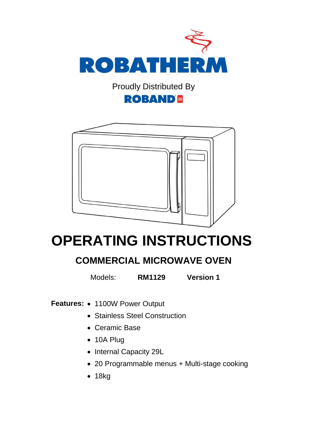

Proudly Distributed By

#### **ROBAND®**



# **OPERATING INSTRUCTIONS**

#### **COMMERCIAL MICROWAVE OVEN**

Models: **RM1129 Version 1**

Features: • 1100W Power Output

- Stainless Steel Construction
- Ceramic Base
- 10A Plug
- Internal Capacity 29L
- 20 Programmable menus + Multi-stage cooking
- $18kg$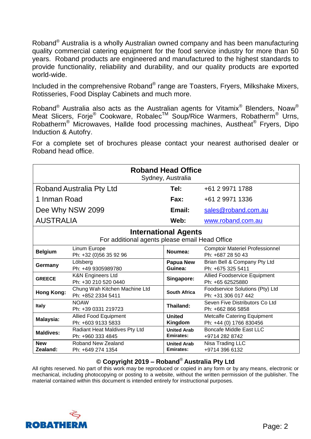Roband® Australia is a wholly Australian owned company and has been manufacturing quality commercial catering equipment for the food service industry for more than 50 years. Roband products are engineered and manufactured to the highest standards to provide functionality, reliability and durability, and our quality products are exported world-wide.

Included in the comprehensive Roband® range are Toasters, Fryers, Milkshake Mixers, Rotisseries, Food Display Cabinets and much more.

Roband® Australia also acts as the Australian agents for Vitamix® Blenders, Noaw® Meat Slicers, Förje<sup>®</sup> Cookware, Robalec<sup>™</sup> Soup/Rice Warmers, Robatherm<sup>®</sup> Urns, Robatherm<sup>®</sup> Microwaves, Hallde food processing machines, Austheat<sup>®</sup> Fryers, Dipo Induction & Autofry.

For a complete set of brochures please contact your nearest authorised dealer or Roband head office.

| <b>Roband Head Office</b><br>Sydney, Australia                                |                                                      |                                        |                                                               |  |  |  |
|-------------------------------------------------------------------------------|------------------------------------------------------|----------------------------------------|---------------------------------------------------------------|--|--|--|
| Roband Australia Pty Ltd                                                      |                                                      | Tel:                                   | +61 2 9971 1788                                               |  |  |  |
| 1 Inman Road                                                                  |                                                      | Fax:                                   | +61 2 9971 1336                                               |  |  |  |
| Dee Why NSW 2099                                                              |                                                      | Email:                                 | sales@roband.com.au                                           |  |  |  |
| <b>AUSTRALIA</b>                                                              |                                                      | Web:                                   | www.roband.com.au                                             |  |  |  |
| <b>International Agents</b><br>For additional agents please email Head Office |                                                      |                                        |                                                               |  |  |  |
| <b>Belgium</b>                                                                | Linum Europe<br>Ph: +32 (0)56 35 92 96               | Noumea:                                | <b>Comptoir Materiel Professionnel</b><br>Ph: +687 28 50 43   |  |  |  |
| Germany                                                                       | Lölsberg<br>Ph: +49 9305989780                       | Papua New<br>Guinea:                   | Brian Bell & Company Pty Ltd<br>Ph: +675 325 5411             |  |  |  |
| <b>GREECE</b>                                                                 | <b>K&amp;N Engineers Ltd</b><br>Ph: +30 210 520 0440 | Singapore:                             | <b>Allied Foodservice Equipment</b><br>Ph: +65 62525880       |  |  |  |
| <b>Hong Kong:</b>                                                             | Chung Wah Kitchen Machine Ltd<br>Ph: +852 2334 5411  | <b>South Africa</b>                    | Foodservice Solutions (Pty) Ltd<br>Ph: +31 306 017 442        |  |  |  |
| <b>Italy</b>                                                                  | <b>NOAW</b><br>Ph: +39 0331 219723                   | Thailand:                              | Seven Five Distributors Co Ltd<br>Ph: +662 866 5858           |  |  |  |
| Malaysia:                                                                     | <b>Allied Food Equipment</b><br>Ph: +603 9133 5833   | <b>United</b><br>Kingdom               | <b>Metcalfe Catering Equipment</b><br>Ph: +44 (0) 1766 830456 |  |  |  |
| <b>Maldives:</b>                                                              | Radiant Heat Maldives Pty Ltd<br>Ph: +960 333 4845   | <b>United Arab</b><br><b>Emirates:</b> | <b>Boncafe Middle East LLC</b><br>+9714 282 8742              |  |  |  |
| <b>New</b><br>Zealand:                                                        | Roband New Zealand<br>Ph: +649 274 1354              | <b>United Arab</b><br><b>Emirates:</b> | Nisa Trading LLC<br>+9714 396 6132                            |  |  |  |

#### **© Copyright 2019 – Roband**® **Australia Pty Ltd**

All rights reserved. No part of this work may be reproduced or copied in any form or by any means, electronic or mechanical, including photocopying or posting to a website, without the written permission of the publisher. The material contained within this document is intended entirely for instructional purposes.

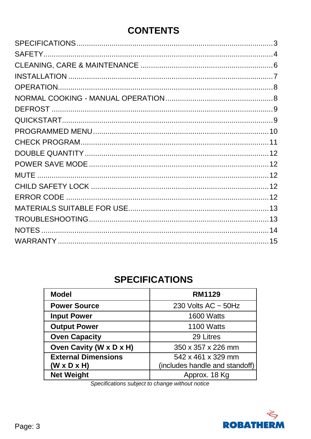## **CONTENTS**

## **SPECIFICATIONS**

<span id="page-2-0"></span>

| <b>Model</b>               | <b>RM1129</b>                  |  |
|----------------------------|--------------------------------|--|
| <b>Power Source</b>        | 230 Volts AC $\sim$ 50Hz       |  |
| <b>Input Power</b>         | 1600 Watts                     |  |
| <b>Output Power</b>        | 1100 Watts                     |  |
| <b>Oven Capacity</b>       | 29 Litres                      |  |
| Oven Cavity (W x D x H)    | 350 x 357 x 226 mm             |  |
| <b>External Dimensions</b> | 542 x 461 x 329 mm             |  |
| $(W \times D \times H)$    | (includes handle and standoff) |  |
| <b>Net Weight</b>          | Approx. 18 Kg                  |  |

<span id="page-2-1"></span>Specifications subject to change without notice

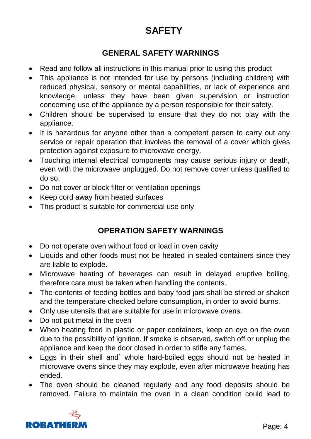## **SAFETY**

#### **GENERAL SAFETY WARNINGS**

- Read and follow all instructions in this manual prior to using this product
- This appliance is not intended for use by persons (including children) with reduced physical, sensory or mental capabilities, or lack of experience and knowledge, unless they have been given supervision or instruction concerning use of the appliance by a person responsible for their safety.
- Children should be supervised to ensure that they do not play with the appliance.
- It is hazardous for anyone other than a competent person to carry out any service or repair operation that involves the removal of a cover which gives protection against exposure to microwave energy.
- Touching internal electrical components may cause serious injury or death, even with the microwave unplugged. Do not remove cover unless qualified to do so.
- Do not cover or block filter or ventilation openings
- Keep cord away from heated surfaces
- This product is suitable for commercial use only

#### **OPERATION SAFETY WARNINGS**

- Do not operate oven without food or load in oven cavity
- Liquids and other foods must not be heated in sealed containers since they are liable to explode.
- Microwave heating of beverages can result in delayed eruptive boiling, therefore care must be taken when handling the contents.
- The contents of feeding bottles and baby food jars shall be stirred or shaken and the temperature checked before consumption, in order to avoid burns.
- Only use utensils that are suitable for use in microwave ovens.
- Do not put metal in the oven
- When heating food in plastic or paper containers, keep an eye on the oven due to the possibility of ignition. If smoke is observed, switch off or unplug the appliance and keep the door closed in order to stifle any flames.
- Eggs in their shell and` whole hard-boiled eggs should not be heated in microwave ovens since they may explode, even after microwave heating has ended.
- The oven should be cleaned regularly and any food deposits should be removed. Failure to maintain the oven in a clean condition could lead to

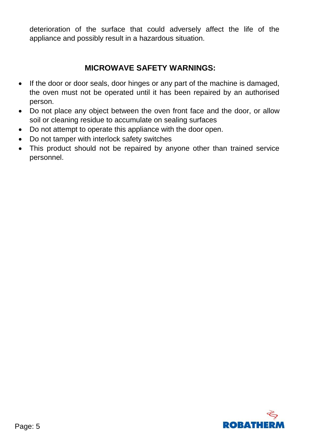deterioration of the surface that could adversely affect the life of the appliance and possibly result in a hazardous situation.

#### **MICROWAVE SAFETY WARNINGS:**

- If the door or door seals, door hinges or any part of the machine is damaged, the oven must not be operated until it has been repaired by an authorised person.
- Do not place any object between the oven front face and the door, or allow soil or cleaning residue to accumulate on sealing surfaces
- Do not attempt to operate this appliance with the door open.
- Do not tamper with interlock safety switches
- This product should not be repaired by anyone other than trained service personnel.

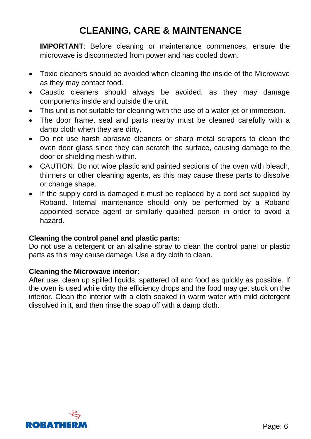## **CLEANING, CARE & MAINTENANCE**

<span id="page-5-0"></span>**IMPORTANT**: Before cleaning or maintenance commences, ensure the microwave is disconnected from power and has cooled down.

- Toxic cleaners should be avoided when cleaning the inside of the Microwave as they may contact food.
- Caustic cleaners should always be avoided, as they may damage components inside and outside the unit.
- This unit is not suitable for cleaning with the use of a water jet or immersion.
- The door frame, seal and parts nearby must be cleaned carefully with a damp cloth when they are dirty.
- Do not use harsh abrasive cleaners or sharp metal scrapers to clean the oven door glass since they can scratch the surface, causing damage to the door or shielding mesh within.
- CAUTION: Do not wipe plastic and painted sections of the oven with bleach, thinners or other cleaning agents, as this may cause these parts to dissolve or change shape.
- If the supply cord is damaged it must be replaced by a cord set supplied by Roband. Internal maintenance should only be performed by a Roband appointed service agent or similarly qualified person in order to avoid a hazard.

#### **Cleaning the control panel and plastic parts:**

Do not use a detergent or an alkaline spray to clean the control panel or plastic parts as this may cause damage. Use a dry cloth to clean.

#### **Cleaning the Microwave interior:**

After use, clean up spilled liquids, spattered oil and food as quickly as possible. If the oven is used while dirty the efficiency drops and the food may get stuck on the interior. Clean the interior with a cloth soaked in warm water with mild detergent dissolved in it, and then rinse the soap off with a damp cloth.

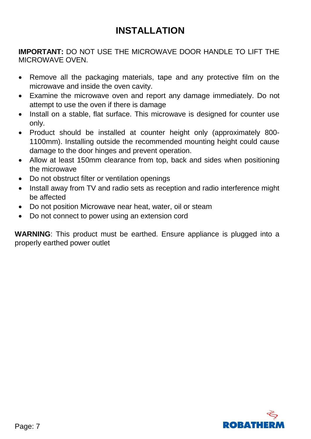## **INSTALLATION**

<span id="page-6-0"></span>**IMPORTANT:** DO NOT USE THE MICROWAVE DOOR HANDLE TO LIFT THE MICROWAVE OVEN.

- Remove all the packaging materials, tape and any protective film on the microwave and inside the oven cavity.
- Examine the microwave oven and report any damage immediately. Do not attempt to use the oven if there is damage
- Install on a stable, flat surface. This microwave is designed for counter use only.
- Product should be installed at counter height only (approximately 800- 1100mm). Installing outside the recommended mounting height could cause damage to the door hinges and prevent operation.
- Allow at least 150mm clearance from top, back and sides when positioning the microwave
- Do not obstruct filter or ventilation openings
- Install away from TV and radio sets as reception and radio interference might be affected
- Do not position Microwave near heat, water, oil or steam
- Do not connect to power using an extension cord

**WARNING**: This product must be earthed. Ensure appliance is plugged into a properly earthed power outlet

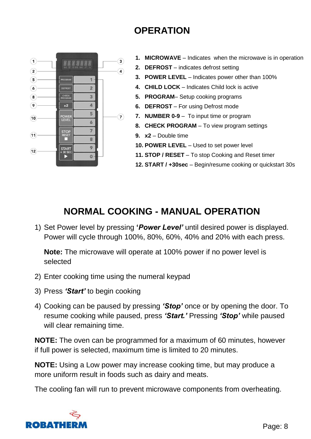## **OPERATION**

<span id="page-7-0"></span>

- **1. MICROWAVE** Indicates when the microwave is in operation
- **2. DEFROST** indicates defrost setting
- **3. POWER LEVEL** Indicates power other than 100%
- **4. CHILD LOCK**  Indicates Child lock is active
- **5. PROGRAM** Setup cooking programs
- **6. DEFROST** For using Defrost mode
- **7. NUMBER 0-9** To input time or program
- **8. CHECK PROGRAM** To view program settings
- **9. x2**  Double time
- **10. POWER LEVEL** Used to set power level
- **11. STOP / RESET** To stop Cooking and Reset timer
- **12. START / +30sec** Begin/resume cooking or quickstart 30s

#### <span id="page-7-1"></span>**NORMAL COOKING - MANUAL OPERATION**

1) Set Power level by pressing **'***Power Level'* until desired power is displayed. Power will cycle through 100%, 80%, 60%, 40% and 20% with each press.

**Note:** The microwave will operate at 100% power if no power level is selected

- 2) Enter cooking time using the numeral keypad
- 3) Press *'Start'* to begin cooking
- 4) Cooking can be paused by pressing *'Stop'* once or by opening the door. To resume cooking while paused, press *'Start.'* Pressing *'Stop'* while paused will clear remaining time.

**NOTE:** The oven can be programmed for a maximum of 60 minutes, however if full power is selected, maximum time is limited to 20 minutes.

**NOTE:** Using a Low power may increase cooking time, but may produce a more uniform result in foods such as dairy and meats.

The cooling fan will run to prevent microwave components from overheating.

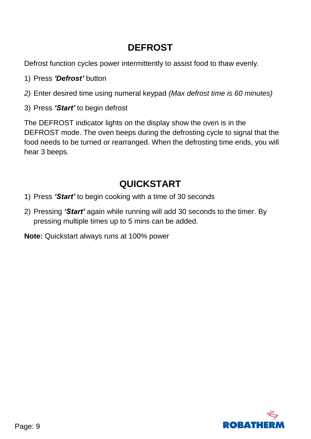## **DEFROST**

<span id="page-8-0"></span>Defrost function cycles power intermittently to assist food to thaw evenly.

- 1) Press *'Defrost'* button
- *2)* Enter desired time using numeral keypad *(Max defrost time is 60 minutes)*
- 3) Press *'Start'* to begin defrost

The DEFROST indicator lights on the display show the oven is in the DEFROST mode. The oven beeps during the defrosting cycle to signal that the food needs to be turned or rearranged. When the defrosting time ends, you will hear 3 beeps.

## **QUICKSTART**

- <span id="page-8-1"></span>1) Press *'Start'* to begin cooking with a time of 30 seconds
- 2) Pressing *'Start'* again while running will add 30 seconds to the timer. By pressing multiple times up to 5 mins can be added.

**Note:** Quickstart always runs at 100% power

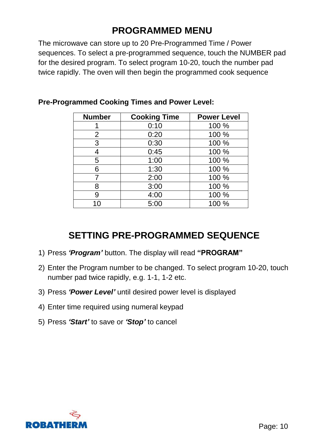## **PROGRAMMED MENU**

<span id="page-9-0"></span>The microwave can store up to 20 Pre-Programmed Time / Power sequences. To select a pre-programmed sequence, touch the NUMBER pad for the desired program. To select program 10-20, touch the number pad twice rapidly. The oven will then begin the programmed cook sequence

| <b>Number</b> | <b>Cooking Time</b> | <b>Power Level</b> |  |
|---------------|---------------------|--------------------|--|
|               | 0:10                | 100 %              |  |
| 2             | 0:20                | 100 %              |  |
| 3             | 0:30                | 100 %              |  |
| 4             | 0:45                | 100 %              |  |
| 5             | 1:00                | 100 %              |  |
| 6             | 1:30                | 100 %              |  |
| 7             | 2:00                | 100 %              |  |
| 8             | 3:00                | 100 %              |  |
| 9             | 4:00                | 100 %              |  |
| 10            | 5:00                | 100 %              |  |

#### **Pre-Programmed Cooking Times and Power Level:**

#### **SETTING PRE-PROGRAMMED SEQUENCE**

- 1) Press *'Program'* button. The display will read **"PROGRAM"**
- 2) Enter the Program number to be changed. To select program 10-20, touch number pad twice rapidly, e.g. 1-1, 1-2 etc.
- 3) Press *'Power Level'* until desired power level is displayed
- 4) Enter time required using numeral keypad
- 5) Press *'Start'* to save or *'Stop'* to cancel

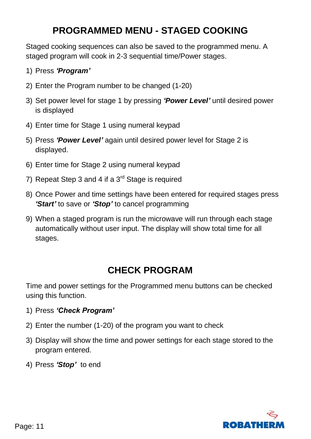### **PROGRAMMED MENU - STAGED COOKING**

Staged cooking sequences can also be saved to the programmed menu. A staged program will cook in 2-3 sequential time/Power stages.

- 1) Press *'Program'*
- 2) Enter the Program number to be changed (1-20)
- 3) Set power level for stage 1 by pressing *'Power Level'* until desired power is displayed
- 4) Enter time for Stage 1 using numeral keypad
- 5) Press *'Power Level'* again until desired power level for Stage 2 is displayed.
- 6) Enter time for Stage 2 using numeral keypad
- 7) Repeat Step 3 and 4 if a  $3<sup>rd</sup>$  Stage is required
- 8) Once Power and time settings have been entered for required stages press *'Start'* to save or *'Stop'* to cancel programming
- 9) When a staged program is run the microwave will run through each stage automatically without user input. The display will show total time for all stages.

#### **CHECK PROGRAM**

<span id="page-10-0"></span>Time and power settings for the Programmed menu buttons can be checked using this function.

- 1) Press *'Check Program'*
- 2) Enter the number (1-20) of the program you want to check
- 3) Display will show the time and power settings for each stage stored to the program entered.
- 4) Press *'Stop'* to end

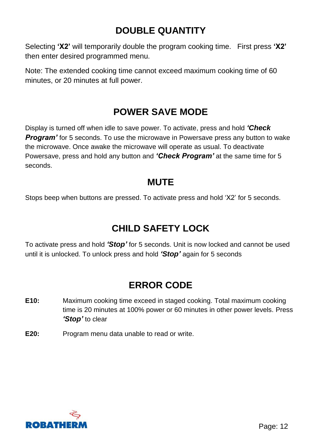## **DOUBLE QUANTITY**

<span id="page-11-0"></span>Selecting **'X2'** will temporarily double the program cooking time. First press **'X2'** then enter desired programmed menu.

Note: The extended cooking time cannot exceed maximum cooking time of 60 minutes, or 20 minutes at full power.

#### **POWER SAVE MODE**

<span id="page-11-1"></span>Display is turned off when idle to save power. To activate, press and hold *'Check*  **Program'** for 5 seconds. To use the microwave in Powersave press any button to wake the microwave. Once awake the microwave will operate as usual. To deactivate Powersave, press and hold any button and *'Check Program'* at the same time for 5 seconds.

#### **MUTE**

<span id="page-11-2"></span>Stops beep when buttons are pressed. To activate press and hold 'X2' for 5 seconds.

## **CHILD SAFETY LOCK**

<span id="page-11-3"></span>To activate press and hold *'Stop'* for 5 seconds. Unit is now locked and cannot be used until it is unlocked. To unlock press and hold *'Stop'* again for 5 seconds

## **ERROR CODE**

- <span id="page-11-4"></span>**E10:** Maximum cooking time exceed in staged cooking. Total maximum cooking time is 20 minutes at 100% power or 60 minutes in other power levels. Press *'Stop'* to clear
- **E20:** Program menu data unable to read or write.

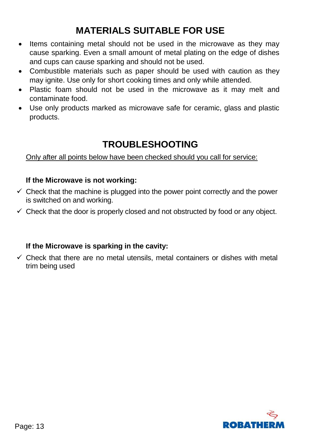## **MATERIALS SUITABLE FOR USE**

- <span id="page-12-0"></span>• Items containing metal should not be used in the microwave as they may cause sparking. Even a small amount of metal plating on the edge of dishes and cups can cause sparking and should not be used.
- Combustible materials such as paper should be used with caution as they may ignite. Use only for short cooking times and only while attended.
- Plastic foam should not be used in the microwave as it may melt and contaminate food.
- Use only products marked as microwave safe for ceramic, glass and plastic products.

### **TROUBLESHOOTING**

#### <span id="page-12-1"></span>Only after all points below have been checked should you call for service:

#### **If the Microwave is not working:**

- $\checkmark$  Check that the machine is plugged into the power point correctly and the power is switched on and working.
- $\checkmark$  Check that the door is properly closed and not obstructed by food or any object.

#### **If the Microwave is sparking in the cavity:**

 $\checkmark$  Check that there are no metal utensils, metal containers or dishes with metal trim being used

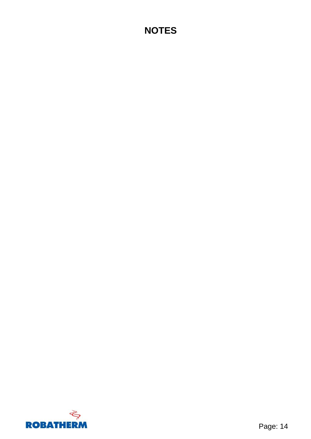## <span id="page-13-0"></span>**NOTES**

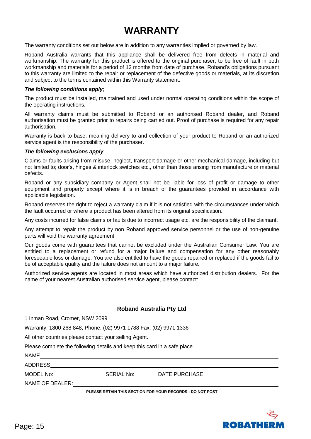### **WARRANTY**

<span id="page-14-0"></span>The warranty conditions set out below are in addition to any warranties implied or governed by law.

Roband Australia warrants that this appliance shall be delivered free from defects in material and workmanship. The warranty for this product is offered to the original purchaser, to be free of fault in both workmanship and materials for a period of 12 months from date of purchase. Roband's obligations pursuant to this warranty are limited to the repair or replacement of the defective goods or materials, at its discretion and subject to the terms contained within this Warranty statement.

#### *The following conditions apply*;

The product must be installed, maintained and used under normal operating conditions within the scope of the operating instructions.

All warranty claims must be submitted to Roband or an authorised Roband dealer, and Roband authorisation must be granted prior to repairs being carried out. Proof of purchase is required for any repair authorisation.

Warranty is back to base, meaning delivery to and collection of your product to Roband or an authorized service agent is the responsibility of the purchaser.

#### *The following exclusions apply*;

Claims or faults arising from misuse, neglect, transport damage or other mechanical damage, including but not limited to; door's, hinges & interlock switches etc., other than those arising from manufacture or material defects.

Roband or any subsidiary company or Agent shall not be liable for loss of profit or damage to other equipment and property except where it is in breach of the guarantees provided in accordance with applicable legislation.

Roband reserves the right to reject a warranty claim if it is not satisfied with the circumstances under which the fault occurred or where a product has been altered from its original specification.

Any costs incurred for false claims or faults due to incorrect usage etc. are the responsibility of the claimant.

Any attempt to repair the product by non Roband approved service personnel or the use of non-genuine parts will void the warranty agreement

Our goods come with guarantees that cannot be excluded under the Australian Consumer Law. You are entitled to a replacement or refund for a major failure and compensation for any other reasonably foreseeable loss or damage. You are also entitled to have the goods repaired or replaced if the goods fail to be of acceptable quality and the failure does not amount to a major failure.

Authorized service agents are located in most areas which have authorized distribution dealers. For the name of your nearest Australian authorised service agent, please contact:

#### **Roband Australia Pty Ltd**

1 Inman Road, Cromer, NSW 2099

Warranty: 1800 268 848, Phone: (02) 9971 1788 Fax: (02) 9971 1336

All other countries please contact your selling Agent.

Please complete the following details and keep this card in a safe place.

| <b>NAME</b>                                               |            |               |  |  |  |  |
|-----------------------------------------------------------|------------|---------------|--|--|--|--|
| <b>ADDRESS</b>                                            |            |               |  |  |  |  |
| MODEL No:                                                 | SERIAL No: | DATE PURCHASE |  |  |  |  |
| NAME OF DEALER:                                           |            |               |  |  |  |  |
| PLEASE RETAIN THIS SECTION FOR YOUR RECORDS - DO NOT POST |            |               |  |  |  |  |